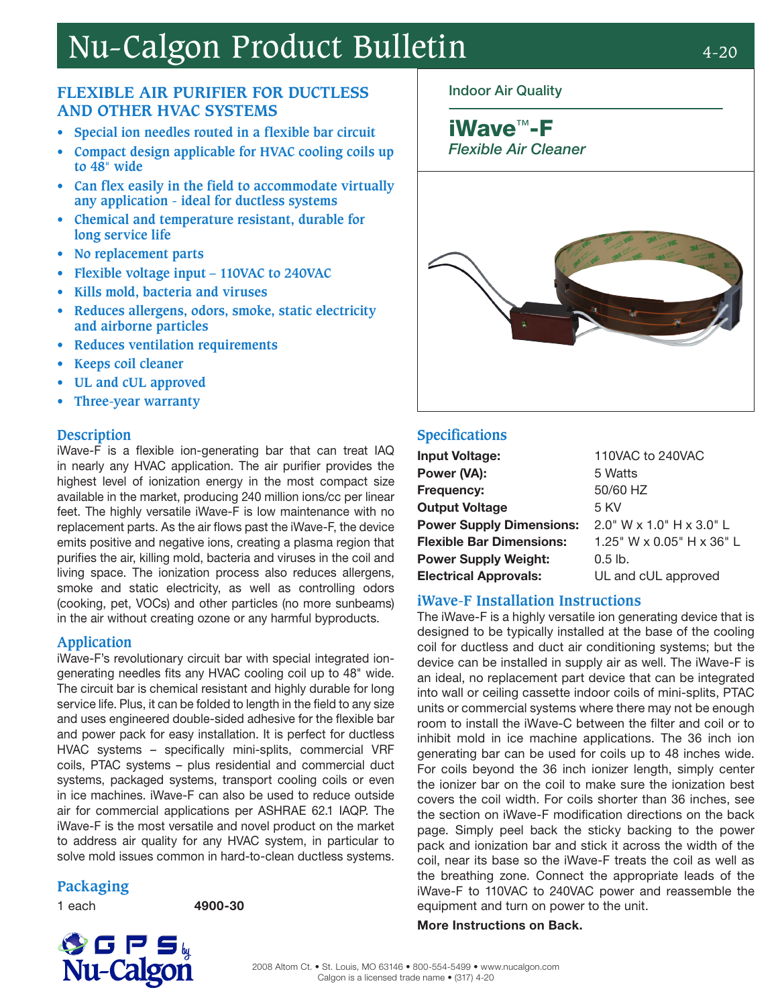# Nu-Calgon Product Bulletin 4-20

# **FLEXIBLE AIR PURIFIER FOR DUCTLESS AND OTHER HVAC SYSTEMS**

- **• Special ion needles routed in a flexible bar circuit**
- **• Compact design applicable for HVAC cooling coils up to 48**" **wide**
- **• Can flex easily in the field to accommodate virtually any application - ideal for ductless systems**
- **• Chemical and temperature resistant, durable for long service life**
- **• No replacement parts**
- **• Flexible voltage input 110VAC to 240VAC**
- **• Kills mold, bacteria and viruses**
- **• Reduces allergens, odors, smoke, static electricity and airborne particles**
- **• Reduces ventilation requirements**
- **• Keeps coil cleaner**
- **• UL and cUL approved**
- **• Three-year warranty**

### **Description**

iWave-F is a flexible ion-generating bar that can treat IAQ in nearly any HVAC application. The air purifier provides the highest level of ionization energy in the most compact size available in the market, producing 240 million ions/cc per linear feet. The highly versatile iWave-F is low maintenance with no replacement parts. As the air flows past the iWave-F, the device emits positive and negative ions, creating a plasma region that purifies the air, killing mold, bacteria and viruses in the coil and living space. The ionization process also reduces allergens, smoke and static electricity, as well as controlling odors (cooking, pet, VOCs) and other particles (no more sunbeams) in the air without creating ozone or any harmful byproducts.

### **Application**

iWave-F's revolutionary circuit bar with special integrated iongenerating needles fits any HVAC cooling coil up to 48" wide. The circuit bar is chemical resistant and highly durable for long service life. Plus, it can be folded to length in the field to any size and uses engineered double-sided adhesive for the flexible bar and power pack for easy installation. It is perfect for ductless HVAC systems – specifically mini-splits, commercial VRF coils, PTAC systems – plus residential and commercial duct systems, packaged systems, transport cooling coils or even in ice machines. iWave-F can also be used to reduce outside air for commercial applications per ASHRAE 62.1 IAQP. The iWave-F is the most versatile and novel product on the market to address air quality for any HVAC system, in particular to solve mold issues common in hard-to-clean ductless systems.

# **Packaging**

1 each 4900-30

# Indoor Air Quality

# iWave™-F

Flexible Air Cleaner



# **Specifications**

| <b>Input Voltage:</b>           | 110VAC to 240VAC            |
|---------------------------------|-----------------------------|
| Power (VA):                     | 5 Watts                     |
| Frequency:                      | 50/60 HZ                    |
| <b>Output Voltage</b>           | 5 KV                        |
| <b>Power Supply Dimensions:</b> | $2.0$ " W x 1.0" H x 3.0" L |
| <b>Flexible Bar Dimensions:</b> | 1.25" W x 0.05" H x 36" L   |
| <b>Power Supply Weight:</b>     | $0.5$ lb.                   |
| <b>Electrical Approvals:</b>    | UL and cUL approved         |
|                                 |                             |

### **iWave-F Installation Instructions**

The iWave-F is a highly versatile ion generating device that is designed to be typically installed at the base of the cooling coil for ductless and duct air conditioning systems; but the device can be installed in supply air as well. The iWave-F is an ideal, no replacement part device that can be integrated into wall or ceiling cassette indoor coils of mini-splits, PTAC units or commercial systems where there may not be enough room to install the iWave-C between the filter and coil or to inhibit mold in ice machine applications. The 36 inch ion generating bar can be used for coils up to 48 inches wide. For coils beyond the 36 inch ionizer length, simply center the ionizer bar on the coil to make sure the ionization best covers the coil width. For coils shorter than 36 inches, see the section on iWave-F modification directions on the back page. Simply peel back the sticky backing to the power pack and ionization bar and stick it across the width of the coil, near its base so the iWave-F treats the coil as well as the breathing zone. Connect the appropriate leads of the iWave-F to 110VAC to 240VAC power and reassemble the equipment and turn on power to the unit.

#### More Instructions on Back.